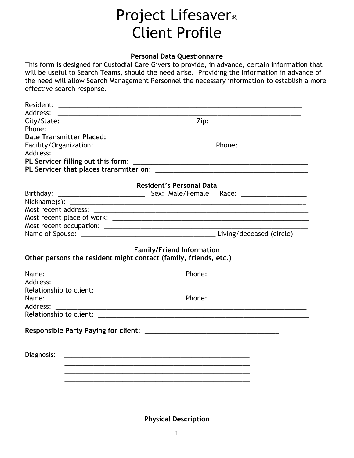## Project Lifesaver® Client Profile

## **Personal Data Questionnaire**

This form is designed for Custodial Care Givers to provide, in advance, certain information that will be useful to Search Teams, should the need arise. Providing the information in advance of the need will allow Search Management Personnel the necessary information to establish a more effective search response.

| Address:                                                                                                                                                                                                                       |                                                                  |
|--------------------------------------------------------------------------------------------------------------------------------------------------------------------------------------------------------------------------------|------------------------------------------------------------------|
|                                                                                                                                                                                                                                |                                                                  |
| Phone: and the state of the state of the state of the state of the state of the state of the state of the state of the state of the state of the state of the state of the state of the state of the state of the state of the |                                                                  |
|                                                                                                                                                                                                                                |                                                                  |
|                                                                                                                                                                                                                                |                                                                  |
| Address:                                                                                                                                                                                                                       |                                                                  |
|                                                                                                                                                                                                                                |                                                                  |
|                                                                                                                                                                                                                                |                                                                  |
|                                                                                                                                                                                                                                | <b>Resident's Personal Data</b>                                  |
| Birthday:                                                                                                                                                                                                                      |                                                                  |
|                                                                                                                                                                                                                                |                                                                  |
|                                                                                                                                                                                                                                |                                                                  |
|                                                                                                                                                                                                                                |                                                                  |
|                                                                                                                                                                                                                                |                                                                  |
|                                                                                                                                                                                                                                |                                                                  |
|                                                                                                                                                                                                                                | Other persons the resident might contact (family, friends, etc.) |
|                                                                                                                                                                                                                                |                                                                  |
|                                                                                                                                                                                                                                |                                                                  |
|                                                                                                                                                                                                                                |                                                                  |
|                                                                                                                                                                                                                                |                                                                  |
| Address:                                                                                                                                                                                                                       |                                                                  |
|                                                                                                                                                                                                                                |                                                                  |
|                                                                                                                                                                                                                                |                                                                  |
|                                                                                                                                                                                                                                |                                                                  |
| Diagnosis:                                                                                                                                                                                                                     |                                                                  |
|                                                                                                                                                                                                                                |                                                                  |
|                                                                                                                                                                                                                                |                                                                  |
|                                                                                                                                                                                                                                |                                                                  |
|                                                                                                                                                                                                                                |                                                                  |
|                                                                                                                                                                                                                                |                                                                  |

**Physical Description**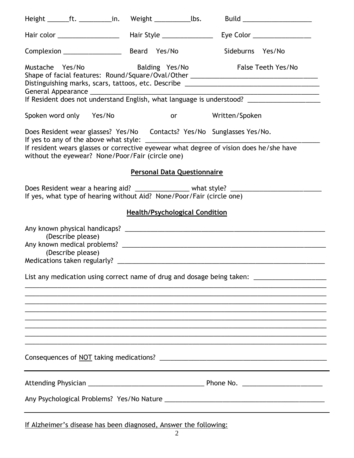| Height _______ft. ___________ in. Weight _________________ lbs.       |                                        |                                       |                |                                                                                                                                                                    | Build ______________________                                                                                                                                                             |
|-----------------------------------------------------------------------|----------------------------------------|---------------------------------------|----------------|--------------------------------------------------------------------------------------------------------------------------------------------------------------------|------------------------------------------------------------------------------------------------------------------------------------------------------------------------------------------|
|                                                                       |                                        |                                       |                |                                                                                                                                                                    | Eye Color ________________                                                                                                                                                               |
| Complexion ________________                                           |                                        | Beard Yes/No                          |                | Sideburns Yes/No                                                                                                                                                   |                                                                                                                                                                                          |
| Mustache Yes/No                                                       |                                        |                                       |                | Balding Yes/No False Teeth Yes/No                                                                                                                                  | Shape of facial features: Round/Square/Oval/Other ______________________________<br>If Resident does not understand English, what language is understood? ______________________________ |
| Spoken word only Yes/No                                               |                                        |                                       |                | or Written/Spoken                                                                                                                                                  |                                                                                                                                                                                          |
| without the eyewear? None/Poor/Fair (circle one)                      |                                        |                                       |                | Does Resident wear glasses? Yes/No  Contacts? Yes/No  Sunglasses Yes/No.<br>If resident wears glasses or corrective eyewear what degree of vision does he/she have |                                                                                                                                                                                          |
|                                                                       |                                        | <b>Personal Data Questionnaire</b>    |                |                                                                                                                                                                    |                                                                                                                                                                                          |
| If yes, what type of hearing without Aid? None/Poor/Fair (circle one) |                                        |                                       |                | Does Resident wear a hearing aid? __________________ what style? ______________________                                                                            |                                                                                                                                                                                          |
|                                                                       |                                        | <b>Health/Psychological Condition</b> |                |                                                                                                                                                                    |                                                                                                                                                                                          |
|                                                                       | (Describe please)<br>(Describe please) |                                       |                |                                                                                                                                                                    |                                                                                                                                                                                          |
|                                                                       |                                        |                                       |                |                                                                                                                                                                    | List any medication using correct name of drug and dosage being taken: _____________________________                                                                                     |
|                                                                       |                                        |                                       |                |                                                                                                                                                                    |                                                                                                                                                                                          |
|                                                                       |                                        |                                       |                |                                                                                                                                                                    |                                                                                                                                                                                          |
|                                                                       |                                        |                                       |                |                                                                                                                                                                    |                                                                                                                                                                                          |
|                                                                       |                                        |                                       |                |                                                                                                                                                                    |                                                                                                                                                                                          |
|                                                                       |                                        |                                       |                |                                                                                                                                                                    |                                                                                                                                                                                          |
|                                                                       |                                        |                                       |                |                                                                                                                                                                    |                                                                                                                                                                                          |
|                                                                       |                                        |                                       |                |                                                                                                                                                                    |                                                                                                                                                                                          |
| If Alzheimer's disease has been diagnosed, Answer the following:      |                                        |                                       | $\overline{2}$ |                                                                                                                                                                    |                                                                                                                                                                                          |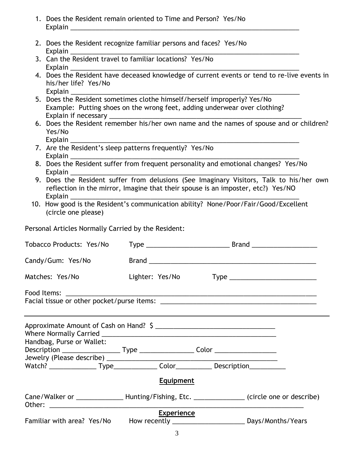- 1. Does the Resident remain oriented to Time and Person? Yes/No Explain \_\_\_\_\_\_\_\_\_\_\_\_\_\_\_\_\_\_\_\_\_\_\_\_\_\_\_\_\_\_\_\_\_\_\_\_\_\_\_\_\_\_\_\_\_\_\_\_\_\_\_\_\_\_\_\_\_\_\_\_\_\_\_
- 2. Does the Resident recognize familiar persons and faces? Yes/No Explain \_\_\_\_\_\_\_\_\_\_\_\_\_\_\_\_\_\_\_\_\_\_\_\_\_\_\_\_\_\_\_\_\_\_\_\_\_\_\_\_\_\_\_\_\_\_\_\_\_\_\_\_\_\_\_\_\_\_\_\_\_\_\_
- 3. Can the Resident travel to familiar locations? Yes/No Explain \_\_\_\_\_\_\_\_\_\_\_\_\_\_\_\_\_\_\_\_\_\_\_\_\_\_\_\_\_\_\_\_\_\_\_\_\_\_\_\_\_\_\_\_\_\_\_\_\_\_\_\_\_\_\_\_\_\_\_\_\_\_\_
- 4. Does the Resident have deceased knowledge of current events or tend to re-live events in his/her life? Yes/No Explain \_\_\_\_\_\_\_\_\_\_\_\_\_\_\_\_\_\_\_\_\_\_\_\_\_\_\_\_\_\_\_\_\_\_\_\_\_\_\_\_\_\_\_\_\_\_\_\_\_\_\_\_\_\_\_\_\_\_\_\_\_\_\_
- 5. Does the Resident sometimes clothe himself/herself improperly? Yes/No Example: Putting shoes on the wrong feet, adding underwear over clothing? Explain if necessary
- 6. Does the Resident remember his/her own name and the names of spouse and or children? Yes/No Explain
- 7. Are the Resident's sleep patterns frequently? Yes/No Explain \_\_\_\_\_\_\_\_\_\_\_\_\_\_\_\_\_\_\_\_\_\_\_\_\_\_\_\_\_\_\_\_\_\_\_\_\_\_\_\_\_\_\_\_\_\_\_\_\_\_\_\_\_\_\_\_\_\_\_\_\_\_\_
- 8. Does the Resident suffer from frequent personality and emotional changes? Yes/No Explain \_\_\_\_\_\_\_\_\_\_\_\_\_\_\_\_\_\_\_\_\_\_\_\_\_\_\_\_\_\_\_\_\_\_\_\_\_\_\_\_\_\_\_\_\_\_\_\_\_\_\_\_\_\_\_\_\_\_\_\_\_\_\_
- 9. Does the Resident suffer from delusions (See Imaginary Visitors, Talk to his/her own reflection in the mirror, Imagine that their spouse is an imposter, etc?) Yes/NO Explain \_\_\_\_\_\_\_\_\_\_\_\_\_\_\_\_\_\_\_\_\_\_\_\_\_\_\_\_\_\_\_\_\_\_\_\_\_\_\_\_\_\_\_\_\_\_\_\_\_\_\_\_\_\_\_\_\_\_\_\_\_\_\_
- 10. How good is the Resident's communication ability? None/Poor/Fair/Good/Excellent (circle one please)

Personal Articles Normally Carried by the Resident:

| Tobacco Products: Yes/No                                                                         |                   |  |
|--------------------------------------------------------------------------------------------------|-------------------|--|
| Candy/Gum: Yes/No                                                                                |                   |  |
| Matches: Yes/No                                                                                  | Lighter: Yes/No   |  |
|                                                                                                  |                   |  |
|                                                                                                  |                   |  |
| Handbag, Purse or Wallet:                                                                        |                   |  |
|                                                                                                  |                   |  |
|                                                                                                  | <b>Equipment</b>  |  |
| Cane/Walker or _________________Hunting/Fishing, Etc. _________________ (circle one or describe) |                   |  |
|                                                                                                  | <b>Experience</b> |  |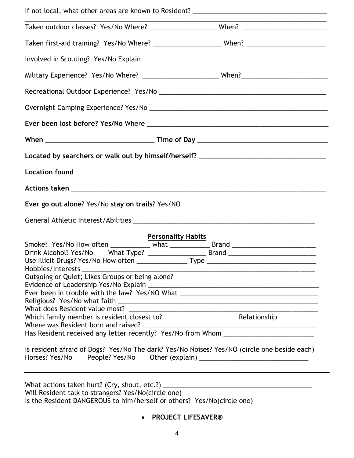| Located by searchers or walk out by himself/herself? ____________________________                                                                                               |                                                                                                                       |
|---------------------------------------------------------------------------------------------------------------------------------------------------------------------------------|-----------------------------------------------------------------------------------------------------------------------|
|                                                                                                                                                                                 |                                                                                                                       |
|                                                                                                                                                                                 |                                                                                                                       |
| Ever go out alone? Yes/No stay on trails? Yes/NO                                                                                                                                |                                                                                                                       |
|                                                                                                                                                                                 |                                                                                                                       |
| <b>Personality Habits</b>                                                                                                                                                       |                                                                                                                       |
| Smoke? Yes/No How often ____________ what ______________ Brand __________________                                                                                               |                                                                                                                       |
|                                                                                                                                                                                 |                                                                                                                       |
|                                                                                                                                                                                 |                                                                                                                       |
| Hobbies/Interests                                                                                                                                                               | <u> 1989 - Johann John Stein, mars an deutscher Stein und der Stein und der Stein und der Stein und der Stein und</u> |
| Outgoing or Quiet; Likes Groups or being alone?                                                                                                                                 |                                                                                                                       |
|                                                                                                                                                                                 |                                                                                                                       |
| Ever been in trouble with the law? Yes/NO What _________________________________                                                                                                |                                                                                                                       |
|                                                                                                                                                                                 |                                                                                                                       |
| What does Resident value most?                                                                                                                                                  |                                                                                                                       |
|                                                                                                                                                                                 |                                                                                                                       |
| Where was Resident born and raised?                                                                                                                                             |                                                                                                                       |
| Has Resident received any letter recently? Yes/No from Whom _____________________                                                                                               |                                                                                                                       |
| Is resident afraid of Dogs? Yes/No The dark? Yes/No Noises? Yes/NO (circle one beside each)<br>Horses? Yes/No People? Yes/No Other (explain) __________________________________ |                                                                                                                       |
|                                                                                                                                                                                 |                                                                                                                       |
|                                                                                                                                                                                 |                                                                                                                       |
| What actions taken hurt? (Cry, shout, etc.?) ___________________________________                                                                                                |                                                                                                                       |
| Will Resident talk to strangers? Yes/No(circle one)                                                                                                                             |                                                                                                                       |

Is the Resident DANGEROUS to him/herself or others? Yes/No(circle one)

**PROJECT LIFESAVER®**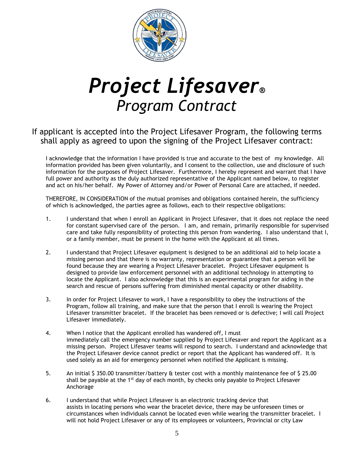

## *Project Lifesaver® Program Contract*

If applicant is accepted into the Project Lifesaver Program, the following terms shall apply as agreed to upon the signing of the Project Lifesaver contract:

I acknowledge that the information I have provided is true and accurate to the best of my knowledge. All information provided has been given voluntarily, and I consent to the collection, use and disclosure of such information for the purposes of Project Lifesaver. Furthermore, I hereby represent and warrant that I have full power and authority as the duly authorized representative of the Applicant named below, to register and act on his/her behalf. My Power of Attorney and/or Power of Personal Care are attached, if needed.

THEREFORE, IN CONSIDERATION of the mutual promises and obligations contained herein, the sufficiency of which is acknowledged, the parties agree as follows, each to their respective obligations:

- 1. I understand that when I enroll an Applicant in Project Lifesaver, that it does not replace the need for constant supervised care of the person. I am, and remain, primarily responsible for supervised care and take fully responsibility of protecting this person from wandering. I also understand that I, or a family member, must be present in the home with the Applicant at all times.
- 2. I understand that Project Lifesaver equipment is designed to be an additional aid to help locate a missing person and that there is no warranty, representation or guarantee that a person will be found because they are wearing a Project Lifesaver bracelet. Project Lifesaver equipment is designed to provide law enforcement personnel with an additional technology in attempting to locate the Applicant. I also acknowledge that this is an experimental program for aiding in the search and rescue of persons suffering from diminished mental capacity or other disability.
- 3. In order for Project Lifesaver to work, I have a responsibility to obey the instructions of the Program, follow all training, and make sure that the person that I enroll is wearing the Project Lifesaver transmitter bracelet. If the bracelet has been removed or is defective; I will call Project Lifesaver immediately.
- 4. When I notice that the Applicant enrolled has wandered off, I must immediately call the emergency number supplied by Project Lifesaver and report the Applicant as a missing person. Project Lifesaver teams will respond to search. I understand and acknowledge that the Project Lifesaver device cannot predict or report that the Applicant has wandered off. It is used solely as an aid for emergency personnel when notified the Applicant is missing.
- 5. An initial \$ 350.00 transmitter/battery & tester cost with a monthly maintenance fee of \$ 25.00 shall be payable at the  $1<sup>st</sup>$  day of each month, by checks only payable to Project Lifesaver Anchorage
- 6. I understand that while Project Lifesaver is an electronic tracking device that assists in locating persons who wear the bracelet device, there may be unforeseen times or circumstances when individuals cannot be located even while wearing the transmitter bracelet. I will not hold Project Lifesaver or any of its employees or volunteers, Provincial or city Law